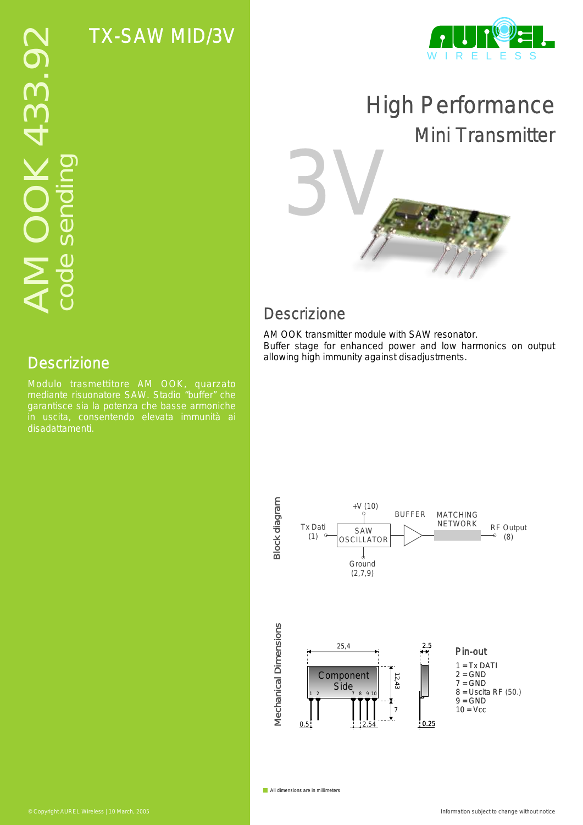TX-SAW MID/3V



# High Performance Mini Transmitter

## **Descrizione**

3V

AM OOK transmitter module with SAW resonator. Buffer stage for enhanced power and low harmonics on output allowing high immunity against disadjustments.



All dimensions are in millimeters

### **Descrizione**

Modulo trasmettitore AM OOK, quarzato mediante risuonatore SAW. Stadio "buffer" che garantisce sia la potenza che basse armoniche disadattamenti.